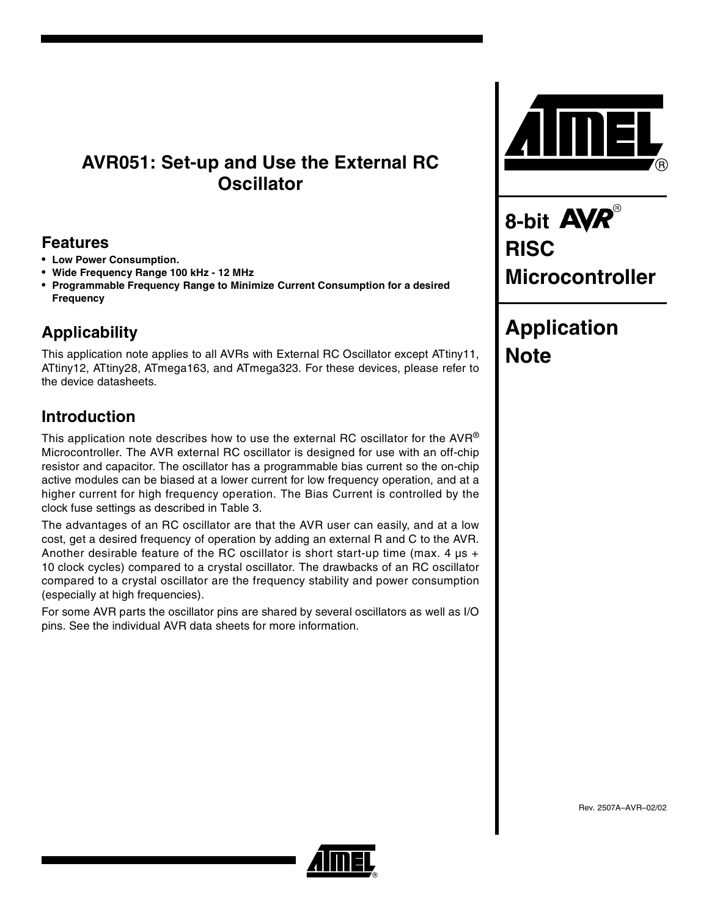# **AVR051: Set-up and Use the External RC Oscillator**

## **Features**

- **Low Power Consumption.**
- **Wide Frequency Range 100 kHz 12 MHz**
- **Programmable Frequency Range to Minimize Current Consumption for a desired Frequency**

# **Applicability**

This application note applies to all AVRs with External RC Oscillator except ATtiny11, ATtiny12, ATtiny28, ATmega163, and ATmega323. For these devices, please refer to the device datasheets.

# **Introduction**

This application note describes how to use the external RC oscillator for the  $AVR^{\circledast}$ Microcontroller. The AVR external RC oscillator is designed for use with an off-chip resistor and capacitor. The oscillator has a programmable bias current so the on-chip active modules can be biased at a lower current for low frequency operation, and at a higher current for high frequency operation. The Bias Current is controlled by the clock fuse settings as described in [Table 3.](#page-3-0)

The advantages of an RC oscillator are that the AVR user can easily, and at a low cost, get a desired frequency of operation by adding an external R and C to the AVR. Another desirable feature of the RC oscillator is short start-up time (max. 4  $\mu$ s + 10 clock cycles) compared to a crystal oscillator. The drawbacks of an RC oscillator compared to a crystal oscillator are the frequency stability and power consumption (especially at high frequencies).

For some AVR parts the oscillator pins are shared by several oscillators as well as I/O pins. See the individual AVR data sheets for more information.



8-bit **AVR**® **RISC Microcontroller**

# **Application Note**

Rev. 2507A–AVR–02/02

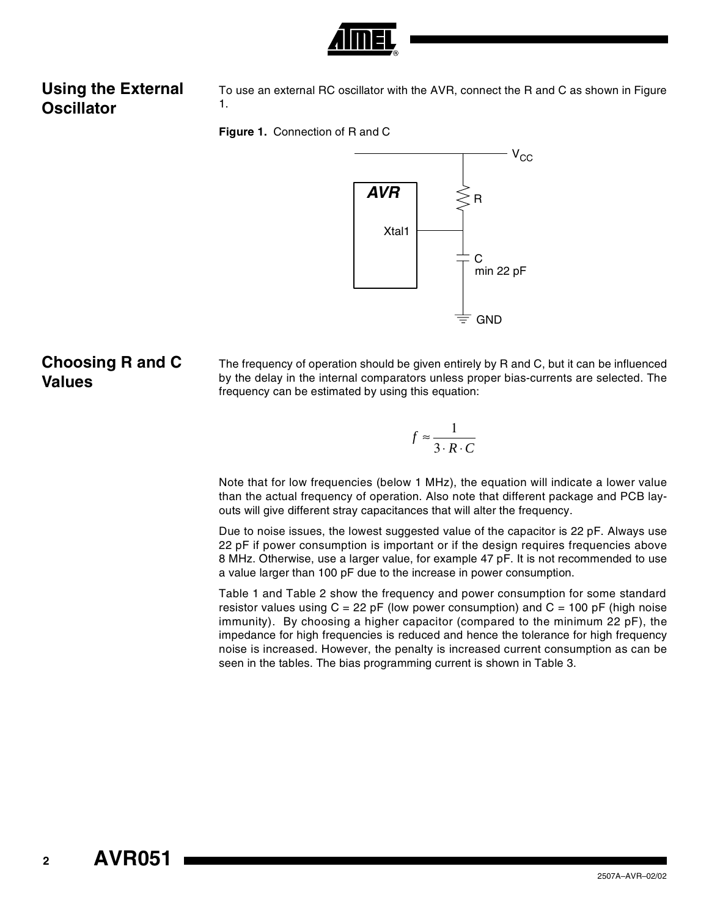

# **Using the External Oscillator**

To use an external RC oscillator with the AVR, connect the R and C as shown in [Figure](#page-1-0) [1.](#page-1-0)

<span id="page-1-0"></span>



# **Choosing R and C Values**

The frequency of operation should be given entirely by R and C, but it can be influenced by the delay in the internal comparators unless proper bias-currents are selected. The frequency can be estimated by using this equation:

$$
f \approx \frac{1}{3 \cdot R \cdot C}
$$

Note that for low frequencies (below 1 MHz), the equation will indicate a lower value than the actual frequency of operation. Also note that different package and PCB layouts will give different stray capacitances that will alter the frequency.

Due to noise issues, the lowest suggested value of the capacitor is 22 pF. Always use 22 pF if power consumption is important or if the design requires frequencies above 8 MHz. Otherwise, use a larger value, for example 47 pF. It is not recommended to use a value larger than 100 pF due to the increase in power consumption.

[Table 1](#page-2-0) and [Table 2](#page-2-1) show the frequency and power consumption for some standard resistor values using  $C = 22$  pF (low power consumption) and  $C = 100$  pF (high noise immunity). By choosing a higher capacitor (compared to the minimum 22 pF), the impedance for high frequencies is reduced and hence the tolerance for high frequency noise is increased. However, the penalty is increased current consumption as can be seen in the tables. The bias programming current is shown in [Table 3](#page-3-0).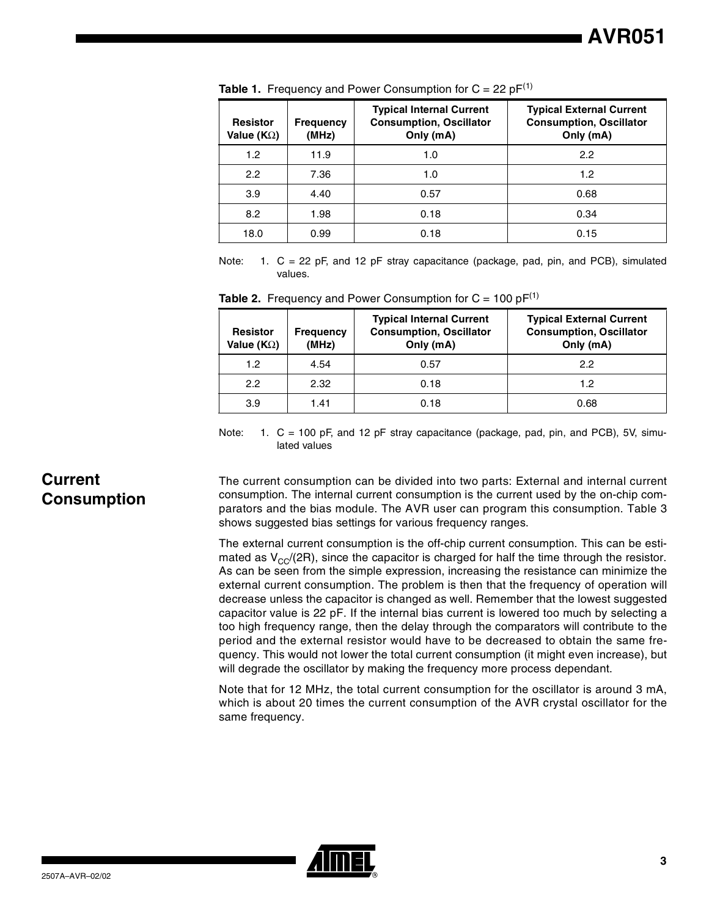| <b>Resistor</b><br>Value ( $K\Omega$ ) | <b>Frequency</b><br>(MHz) | <b>Typical Internal Current</b><br><b>Consumption, Oscillator</b><br>Only (mA) | <b>Typical External Current</b><br><b>Consumption, Oscillator</b><br>Only (mA) |
|----------------------------------------|---------------------------|--------------------------------------------------------------------------------|--------------------------------------------------------------------------------|
| 1.2                                    | 11.9                      | 1.0                                                                            | 2.2                                                                            |
| 2.2                                    | 7.36                      | 1.0                                                                            | 1.2                                                                            |
| 3.9                                    | 4.40                      | 0.57                                                                           | 0.68                                                                           |
| 8.2                                    | 1.98                      | 0.18                                                                           | 0.34                                                                           |
| 18.0                                   | 0.99                      | 0.18                                                                           | 0.15                                                                           |

<span id="page-2-0"></span>**Table 1.** Frequency and Power Consumption for  $C = 22$  p $F^{(1)}$  $F^{(1)}$  $F^{(1)}$ 

<span id="page-2-2"></span>Note: 1. C = 22 pF, and 12 pF stray capacitance (package, pad, pin, and PCB), simulated values.

<span id="page-2-1"></span>

|  |  |  | <b>Table 2.</b> Frequency and Power Consumption for $C = 100 pF^{(1)}$ |  |  |
|--|--|--|------------------------------------------------------------------------|--|--|
|--|--|--|------------------------------------------------------------------------|--|--|

| <b>Resistor</b><br>Value (K $\Omega$ ) | <b>Frequency</b><br>(MHz) | <b>Typical Internal Current</b><br><b>Consumption, Oscillator</b><br>Only (mA) | <b>Typical External Current</b><br><b>Consumption, Oscillator</b><br>Only (mA) |
|----------------------------------------|---------------------------|--------------------------------------------------------------------------------|--------------------------------------------------------------------------------|
| 1.2 <sub>2</sub>                       | 4.54                      | 0.57                                                                           | 2.2                                                                            |
| 2.2                                    | 2.32                      | 0.18                                                                           | 1.2                                                                            |
| 3.9                                    | 1.41                      | 0.18                                                                           | 0.68                                                                           |

<span id="page-2-3"></span>Note: 1. C = 100 pF, and 12 pF stray capacitance (package, pad, pin, and PCB), 5V, simulated values

## **Current Consumption**

The current consumption can be divided into two parts: External and internal current consumption. The internal current consumption is the current used by the on-chip comparators and the bias module. The AVR user can program this consumption. Table 3 shows suggested bias settings for various frequency ranges.

The external current consumption is the off-chip current consumption. This can be estimated as  $V_{\rm CC}/(2R)$ , since the capacitor is charged for half the time through the resistor. As can be seen from the simple expression, increasing the resistance can minimize the external current consumption. The problem is then that the frequency of operation will decrease unless the capacitor is changed as well. Remember that the lowest suggested capacitor value is 22 pF. If the internal bias current is lowered too much by selecting a too high frequency range, then the delay through the comparators will contribute to the period and the external resistor would have to be decreased to obtain the same frequency. This would not lower the total current consumption (it might even increase), but will degrade the oscillator by making the frequency more process dependant.

Note that for 12 MHz, the total current consumption for the oscillator is around 3 mA, which is about 20 times the current consumption of the AVR crystal oscillator for the same frequency.

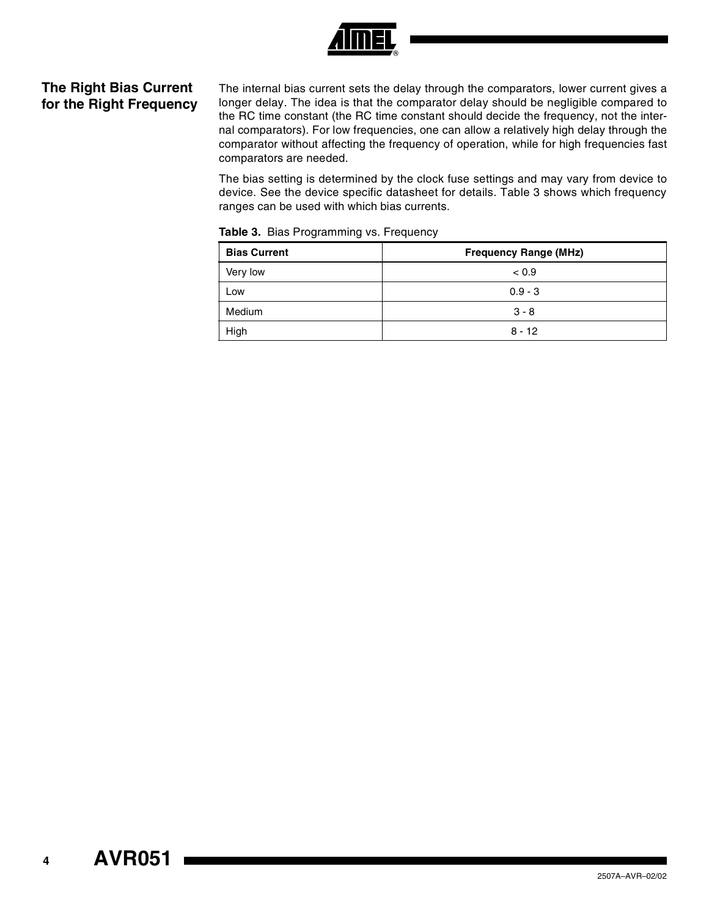

## **The Right Bias Current for the Right Frequency**

The internal bias current sets the delay through the comparators, lower current gives a longer delay. The idea is that the comparator delay should be negligible compared to the RC time constant (the RC time constant should decide the frequency, not the internal comparators). For low frequencies, one can allow a relatively high delay through the comparator without affecting the frequency of operation, while for high frequencies fast comparators are needed.

The bias setting is determined by the clock fuse settings and may vary from device to device. See the device specific datasheet for details. [Table 3](#page-3-0) shows which frequency ranges can be used with which bias currents.

| <b>Bias Current</b> | <b>Frequency Range (MHz)</b> |  |
|---------------------|------------------------------|--|
| Very low            | < 0.9                        |  |
| Low                 | $0.9 - 3$                    |  |
| Medium              | $3 - 8$                      |  |
| High                | $8 - 12$                     |  |

<span id="page-3-0"></span>**Table 3.** Bias Programming vs. Frequency